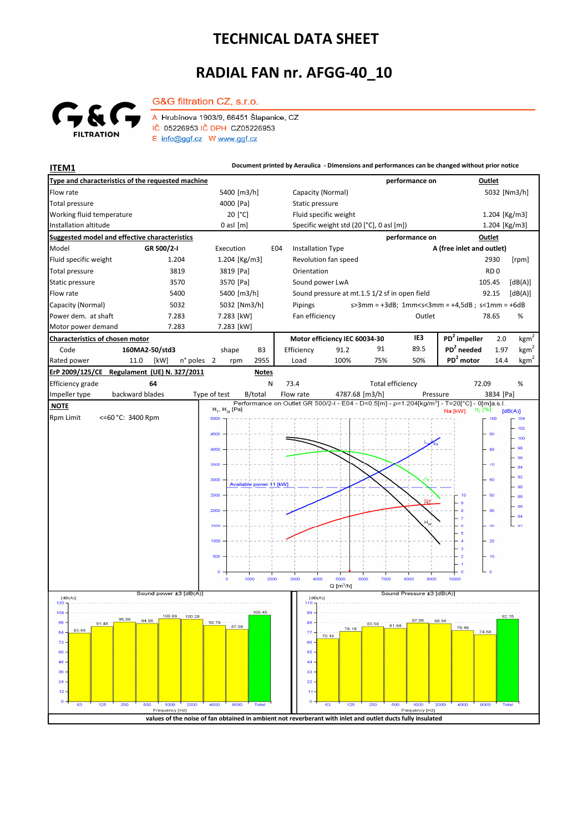## **TECHNICAL DATA SHEET**

## **RADIAL FAN nr. AFGG-40\_10**



G&G filtration CZ, s.r.o. A Hrubínova 1903/9, 66451 Šlapanice, CZ IČ 05226953 IČ DPH CZ05226953 E info@ggf.cz W www.ggf.cz

**ITEM1 Document printed by Aeraulica** - Dimensions and performances can be changed without prior notice

| Type and characteristics of the requested machine                       |                               | performance on                                                                                             |              |                       |                         |                                          |                                               | Outlet                                      |       |                |       |                            |                                                                                                                    |                    |                  |  |
|-------------------------------------------------------------------------|-------------------------------|------------------------------------------------------------------------------------------------------------|--------------|-----------------------|-------------------------|------------------------------------------|-----------------------------------------------|---------------------------------------------|-------|----------------|-------|----------------------------|--------------------------------------------------------------------------------------------------------------------|--------------------|------------------|--|
| Flow rate                                                               |                               | 5400 [m3/h]                                                                                                |              |                       |                         | Capacity (Normal)                        |                                               |                                             |       |                |       |                            | 5032 [Nm3/h]                                                                                                       |                    |                  |  |
| <b>Total pressure</b>                                                   |                               | 4000 [Pa]                                                                                                  |              |                       |                         | Static pressure                          |                                               |                                             |       |                |       |                            |                                                                                                                    |                    |                  |  |
| Working fluid temperature                                               |                               | 20 [°C]                                                                                                    |              |                       |                         | Fluid specific weight                    |                                               |                                             |       |                |       |                            | 1.204 [Kg/m3]                                                                                                      |                    |                  |  |
| Installation altitude                                                   |                               | $0$ asl $[m]$                                                                                              |              |                       |                         | Specific weight std (20 [°C], 0 asl [m]) |                                               |                                             |       |                |       |                            | 1.204 [Kg/m3]                                                                                                      |                    |                  |  |
| Suggested model and effective characteristics                           | performance on                |                                                                                                            |              |                       |                         |                                          |                                               | Outlet                                      |       |                |       |                            |                                                                                                                    |                    |                  |  |
| Model                                                                   | GR 500/2-I                    | Execution<br>E04                                                                                           |              |                       |                         | <b>Installation Type</b>                 |                                               |                                             |       |                |       | A (free inlet and outlet)  |                                                                                                                    |                    |                  |  |
| Fluid specific weight                                                   | 1.204                         |                                                                                                            |              | $1.204$ [Kg/m3]       |                         |                                          | Revolution fan speed                          |                                             |       |                |       |                            |                                                                                                                    | 2930               | [rpm]            |  |
| <b>Total pressure</b>                                                   | 3819                          |                                                                                                            |              | 3819 [Pa]             |                         |                                          | Orientation                                   |                                             |       |                |       |                            |                                                                                                                    | RD <sub>0</sub>    |                  |  |
| Static pressure                                                         | 3570                          |                                                                                                            |              | 3570 [Pa]             |                         |                                          | Sound power LwA                               |                                             |       |                |       |                            |                                                                                                                    | 105.45             | [dB(A)]          |  |
| Flow rate                                                               | 5400                          |                                                                                                            |              | 5400 [m3/h]           |                         |                                          | Sound pressure at mt.1.5 1/2 sf in open field |                                             |       |                |       |                            |                                                                                                                    | 92.15              | [dB(A)]          |  |
| Capacity (Normal)<br>5032                                               |                               |                                                                                                            | 5032 [Nm3/h] |                       |                         |                                          | Pipings                                       |                                             |       |                |       |                            | $s > 3$ mm = $+3dB$ ; 1mm <s<3mm <math="" =="">+4,5dB; s&lt;1mm = <math>+6dB</math></s<3mm>                        |                    |                  |  |
| Power dem. at shaft<br>7.283                                            |                               |                                                                                                            | 7.283 [kW]   |                       |                         |                                          | Fan efficiency<br>Outlet                      |                                             |       |                |       |                            | %<br>78.65                                                                                                         |                    |                  |  |
| Motor power demand                                                      | 7.283                         | 7.283 [kW]                                                                                                 |              |                       |                         |                                          |                                               |                                             |       |                |       |                            |                                                                                                                    |                    |                  |  |
| <b>Characteristics of chosen motor</b>                                  |                               |                                                                                                            |              |                       |                         |                                          | Motor efficiency IEC 60034-30                 |                                             |       |                |       | IE <sub>3</sub>            | PD <sup>2</sup> impeller                                                                                           | 2.0                | kgm <sup>2</sup> |  |
| Code<br>160MA2-50/std3                                                  |                               |                                                                                                            | shape<br>B3  |                       |                         | Efficiency<br>91.2                       |                                               |                                             | 91    |                | 89.5  | PD <sup>2</sup> needed     | 1.97                                                                                                               | kgm <sup>2</sup>   |                  |  |
| Rated power<br>11.0                                                     | [kW]                          | n° poles 2                                                                                                 |              | rpm                   | 2955                    |                                          | Load                                          | 100%                                        |       | 75%            |       | 50%                        | PD <sup>2</sup> motor                                                                                              | 14.4               | kgm <sup>2</sup> |  |
| ErP 2009/125/CE Regulament (UE) N. 327/2011                             |                               |                                                                                                            |              |                       | <b>Notes</b>            |                                          |                                               |                                             |       |                |       |                            |                                                                                                                    |                    |                  |  |
| Efficiency grade<br>64<br>73.4<br><b>Total efficiency</b><br>72.09<br>N |                               |                                                                                                            |              |                       |                         |                                          |                                               |                                             |       |                |       |                            |                                                                                                                    | %                  |                  |  |
| backward blades<br>Impeller type                                        |                               |                                                                                                            | Type of test |                       | B/total                 | Flow rate                                |                                               |                                             |       | 4787.68 [m3/h] |       |                            | Pressure                                                                                                           | 3834 [Pa]          |                  |  |
| <b>NOTE</b>                                                             |                               |                                                                                                            |              | $H_T$ , $H_{ss}$ [Pa] |                         |                                          |                                               |                                             |       |                |       |                            | Performance on Outlet GR 500/2-I - E04 - D=0.5[m] - p=1.204[kg/m <sup>3</sup> ] - T=20[°C] - 0[m]a.s.l.<br>Na [kW] | η <sub>τ</sub> [%] | [dB(A)]          |  |
| Rpm Limit<br><=60 °C: 3400 Rpm                                          |                               |                                                                                                            | 5000         |                       |                         |                                          |                                               |                                             |       |                |       |                            |                                                                                                                    | 100                | 104              |  |
|                                                                         |                               |                                                                                                            | 4500         |                       |                         |                                          |                                               |                                             |       |                |       |                            |                                                                                                                    | 90                 | 102              |  |
|                                                                         |                               |                                                                                                            |              |                       |                         |                                          |                                               |                                             |       |                |       |                            |                                                                                                                    |                    | 100              |  |
|                                                                         |                               |                                                                                                            | 4000         |                       |                         |                                          |                                               |                                             |       |                |       |                            |                                                                                                                    | 80                 | 98               |  |
|                                                                         |                               |                                                                                                            | 3500         |                       |                         |                                          |                                               |                                             |       |                |       |                            |                                                                                                                    | 70                 | 96<br>94         |  |
|                                                                         |                               |                                                                                                            |              |                       |                         |                                          |                                               |                                             |       |                |       |                            |                                                                                                                    |                    | 92               |  |
|                                                                         |                               |                                                                                                            | 3000         |                       | Available power 11 [kW] |                                          |                                               |                                             |       |                |       |                            |                                                                                                                    | 60                 | 90               |  |
|                                                                         |                               |                                                                                                            | 2500         |                       |                         |                                          |                                               |                                             |       |                |       |                            |                                                                                                                    | 50                 | 88               |  |
|                                                                         |                               |                                                                                                            | 2000         |                       |                         |                                          |                                               |                                             |       |                |       |                            |                                                                                                                    | 40                 | 86               |  |
|                                                                         |                               |                                                                                                            |              |                       |                         |                                          |                                               |                                             |       |                |       | $\mathsf{H}_{\mathsf{Sf}}$ |                                                                                                                    |                    | .84              |  |
|                                                                         |                               |                                                                                                            | 1500         |                       |                         |                                          |                                               |                                             |       |                |       |                            |                                                                                                                    | 30                 | 82               |  |
|                                                                         |                               |                                                                                                            | 1000         |                       |                         |                                          |                                               |                                             |       |                |       |                            |                                                                                                                    | 20                 |                  |  |
|                                                                         |                               |                                                                                                            | 500          |                       |                         |                                          |                                               |                                             |       |                |       |                            | $\overline{\mathbf{3}}$<br>$\overline{2}$                                                                          | 10                 |                  |  |
|                                                                         |                               |                                                                                                            |              |                       |                         |                                          |                                               |                                             |       |                |       |                            |                                                                                                                    |                    |                  |  |
|                                                                         |                               |                                                                                                            | $\mathbf{o}$ | $\circ$               | 2000<br>1000            | 3000                                     | 4000                                          | 5000                                        | 6000  |                | 7000  | 8000<br>9000               | 10000                                                                                                              | $\circ$            |                  |  |
|                                                                         |                               |                                                                                                            |              |                       |                         |                                          |                                               | $Q$ [m <sup>3</sup> /h]                     |       |                |       |                            |                                                                                                                    |                    |                  |  |
| Sound power ±3 [dB(A)]<br>[dB(A)]                                       |                               |                                                                                                            |              |                       |                         |                                          |                                               | Sound Pressure ±3 [dB(A)]<br>[dB(A)]<br>110 |       |                |       |                            |                                                                                                                    |                    |                  |  |
| 120<br>$108 -$                                                          |                               |                                                                                                            |              |                       | 105.45                  |                                          | 99                                            |                                             |       |                |       |                            |                                                                                                                    |                    |                  |  |
| ೨೮.೮೮<br>$96 -$<br>$91.48 -$                                            | 100.88<br>94.98               | 100.28                                                                                                     | $92.78 -$    |                       |                         |                                          | $88 -$                                        |                                             |       | 83.58          |       | 87.58                      | 86.98                                                                                                              |                    | 92.15            |  |
| 83.48<br>84                                                             |                               |                                                                                                            |              | 87.98                 |                         |                                          | 77                                            | 70.18                                       | 78.18 |                | 81.68 |                            | 79.48                                                                                                              | 74.68              |                  |  |
| 72                                                                      |                               |                                                                                                            |              |                       |                         |                                          | 66                                            |                                             |       |                |       |                            |                                                                                                                    |                    |                  |  |
| 60                                                                      |                               |                                                                                                            |              |                       |                         |                                          | 55                                            |                                             |       |                |       |                            |                                                                                                                    |                    |                  |  |
| 48                                                                      |                               |                                                                                                            |              |                       |                         |                                          | 44                                            |                                             |       |                |       |                            |                                                                                                                    |                    |                  |  |
| 36                                                                      |                               |                                                                                                            |              |                       |                         |                                          | 33                                            |                                             |       |                |       |                            |                                                                                                                    |                    |                  |  |
| 24<br>12                                                                |                               |                                                                                                            |              |                       |                         |                                          | 22<br>11                                      |                                             |       |                |       |                            |                                                                                                                    |                    |                  |  |
| $\circ$                                                                 |                               |                                                                                                            |              |                       |                         |                                          | $\circ$                                       |                                             |       |                |       |                            |                                                                                                                    |                    |                  |  |
| 125<br>250<br>63                                                        | 500<br>1000<br>Frequency [Hz] | 2000                                                                                                       | $^{1}$ 4000  | 8000                  | Total                   |                                          |                                               | 63                                          | 125   | 250            | 500   | 1000<br>Frequency [Hz]     | 2000<br>4000                                                                                                       | 8000<br>Total      |                  |  |
|                                                                         |                               | values of the noise of fan obtained in ambient not reverberant with inlet and outlet ducts fully insulated |              |                       |                         |                                          |                                               |                                             |       |                |       |                            |                                                                                                                    |                    |                  |  |